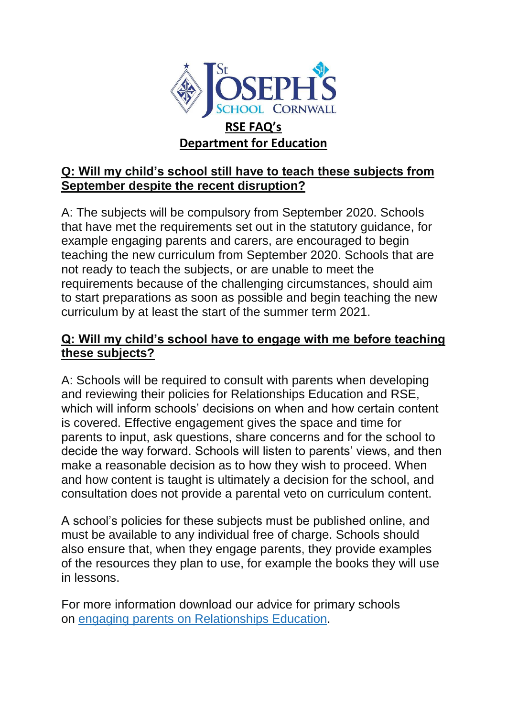

## **Q: Will my child's school still have to teach these subjects from September despite the recent disruption?**

A: The subjects will be compulsory from September 2020. Schools that have met the requirements set out in the statutory guidance, for example engaging parents and carers, are encouraged to begin teaching the new curriculum from September 2020. Schools that are not ready to teach the subjects, or are unable to meet the requirements because of the challenging circumstances, should aim to start preparations as soon as possible and begin teaching the new curriculum by at least the start of the summer term 2021.

### **Q: Will my child's school have to engage with me before teaching these subjects?**

A: Schools will be required to consult with parents when developing and reviewing their policies for Relationships Education and RSE, which will inform schools' decisions on when and how certain content is covered. Effective engagement gives the space and time for parents to input, ask questions, share concerns and for the school to decide the way forward. Schools will listen to parents' views, and then make a reasonable decision as to how they wish to proceed. When and how content is taught is ultimately a decision for the school, and consultation does not provide a parental veto on curriculum content.

A school's policies for these subjects must be published online, and must be available to any individual free of charge. Schools should also ensure that, when they engage parents, they provide examples of the resources they plan to use, for example the books they will use in lessons.

For more information download our advice for primary schools on engaging parents on [Relationships](https://www.gov.uk/government/publications/engaging-parents-with-relationships-education-policy) Education.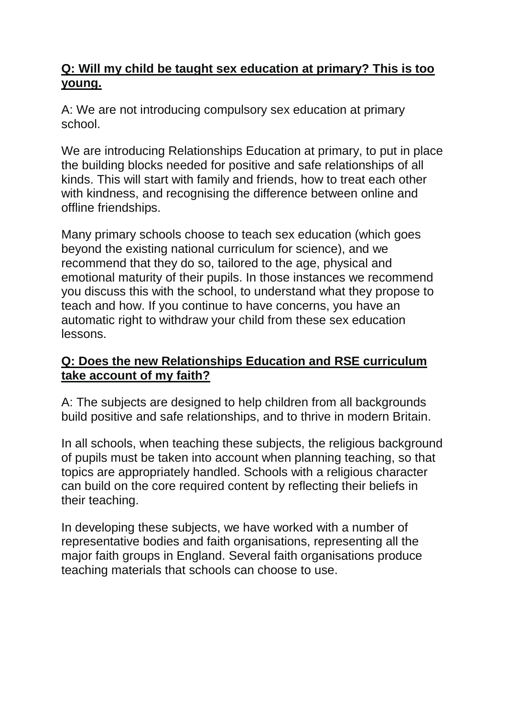## **Q: Will my child be taught sex education at primary? This is too young.**

A: We are not introducing compulsory sex education at primary school.

We are introducing Relationships Education at primary, to put in place the building blocks needed for positive and safe relationships of all kinds. This will start with family and friends, how to treat each other with kindness, and recognising the difference between online and offline friendships.

Many primary schools choose to teach sex education (which goes beyond the existing national curriculum for science), and we recommend that they do so, tailored to the age, physical and emotional maturity of their pupils. In those instances we recommend you discuss this with the school, to understand what they propose to teach and how. If you continue to have concerns, you have an automatic right to withdraw your child from these sex education lessons.

## **Q: Does the new Relationships Education and RSE curriculum take account of my faith?**

A: The subjects are designed to help children from all backgrounds build positive and safe relationships, and to thrive in modern Britain.

In all schools, when teaching these subjects, the religious background of pupils must be taken into account when planning teaching, so that topics are appropriately handled. Schools with a religious character can build on the core required content by reflecting their beliefs in their teaching.

In developing these subjects, we have worked with a number of representative bodies and faith organisations, representing all the major faith groups in England. Several faith organisations produce teaching materials that schools can choose to use.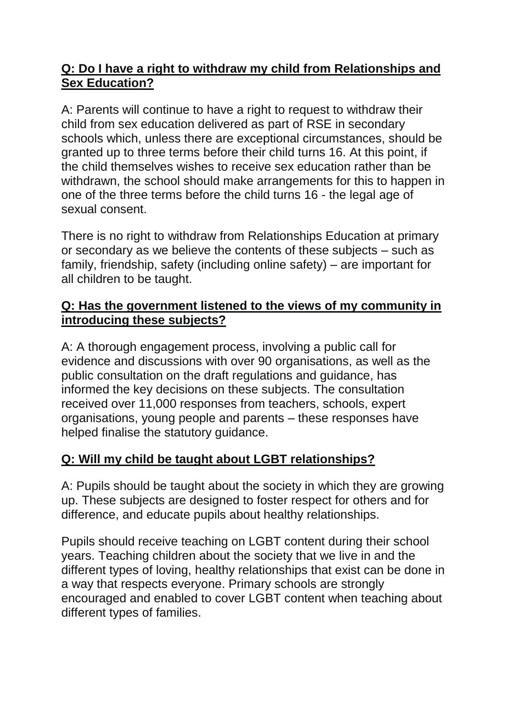## **Q: Do I have a right to withdraw my child from Relationships and Sex Education?**

A: Parents will continue to have a right to request to withdraw their child from sex education delivered as part of RSE in secondary schools which, unless there are exceptional circumstances, should be granted up to three terms before their child turns 16. At this point, if the child themselves wishes to receive sex education rather than be withdrawn, the school should make arrangements for this to happen in one of the three terms before the child turns 16 - the legal age of sexual consent.

There is no right to withdraw from Relationships Education at primary or secondary as we believe the contents of these subjects – such as family, friendship, safety (including online safety) – are important for all children to be taught.

## **Q: Has the government listened to the views of my community in introducing these subjects?**

A: A thorough engagement process, involving a public call for evidence and discussions with over 90 organisations, as well as the public consultation on the draft regulations and guidance, has informed the key decisions on these subjects. The consultation received over 11,000 responses from teachers, schools, expert organisations, young people and parents – these responses have helped finalise the statutory guidance.

# **Q: Will my child be taught about LGBT relationships?**

A: Pupils should be taught about the society in which they are growing up. These subjects are designed to foster respect for others and for difference, and educate pupils about healthy relationships.

Pupils should receive teaching on LGBT content during their school years. Teaching children about the society that we live in and the different types of loving, healthy relationships that exist can be done in a way that respects everyone. Primary schools are strongly encouraged and enabled to cover LGBT content when teaching about different types of families.